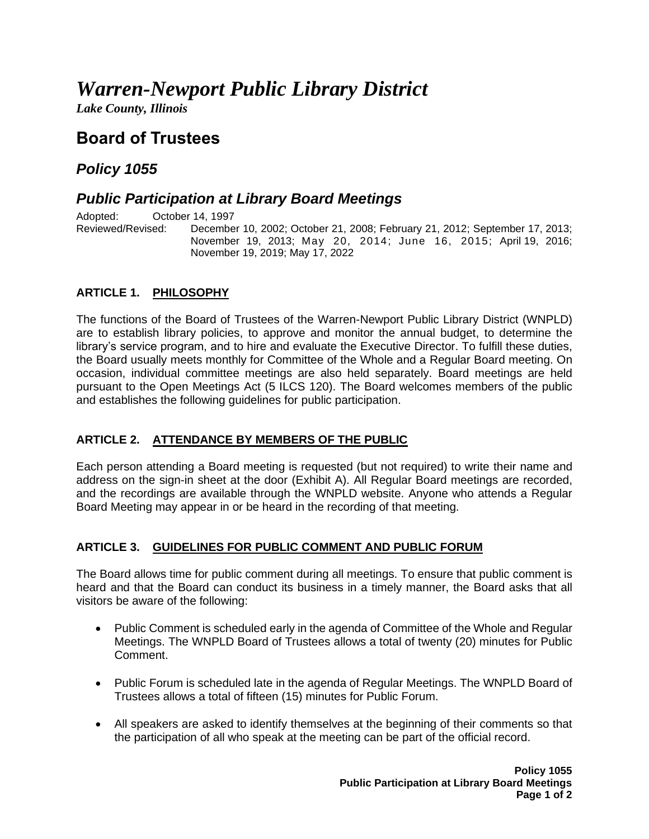# *Warren-Newport Public Library District*

*Lake County, Illinois*

## **Board of Trustees**

### *Policy 1055*

### *Public Participation at Library Board Meetings*

Adopted: Cortober 14, 1997<br>Reviewed/Revised: Decembe December 10, 2002; October 21, 2008; February 21, 2012; September 17, 2013; November 19, 2013; May 20, 2014; June 16, 2015; April 19, 2016; November 19, 2019; May 17, 2022

#### **ARTICLE 1. PHILOSOPHY**

The functions of the Board of Trustees of the Warren-Newport Public Library District (WNPLD) are to establish library policies, to approve and monitor the annual budget, to determine the library's service program, and to hire and evaluate the Executive Director. To fulfill these duties, the Board usually meets monthly for Committee of the Whole and a Regular Board meeting. On occasion, individual committee meetings are also held separately. Board meetings are held pursuant to the Open Meetings Act (5 ILCS 120). The Board welcomes members of the public and establishes the following guidelines for public participation.

#### **ARTICLE 2. ATTENDANCE BY MEMBERS OF THE PUBLIC**

Each person attending a Board meeting is requested (but not required) to write their name and address on the sign-in sheet at the door (Exhibit A). All Regular Board meetings are recorded, and the recordings are available through the WNPLD website. Anyone who attends a Regular Board Meeting may appear in or be heard in the recording of that meeting.

#### **ARTICLE 3. GUIDELINES FOR PUBLIC COMMENT AND PUBLIC FORUM**

The Board allows time for public comment during all meetings. To ensure that public comment is heard and that the Board can conduct its business in a timely manner, the Board asks that all visitors be aware of the following:

- Public Comment is scheduled early in the agenda of Committee of the Whole and Regular Meetings. The WNPLD Board of Trustees allows a total of twenty (20) minutes for Public Comment.
- Public Forum is scheduled late in the agenda of Regular Meetings. The WNPLD Board of Trustees allows a total of fifteen (15) minutes for Public Forum.
- All speakers are asked to identify themselves at the beginning of their comments so that the participation of all who speak at the meeting can be part of the official record.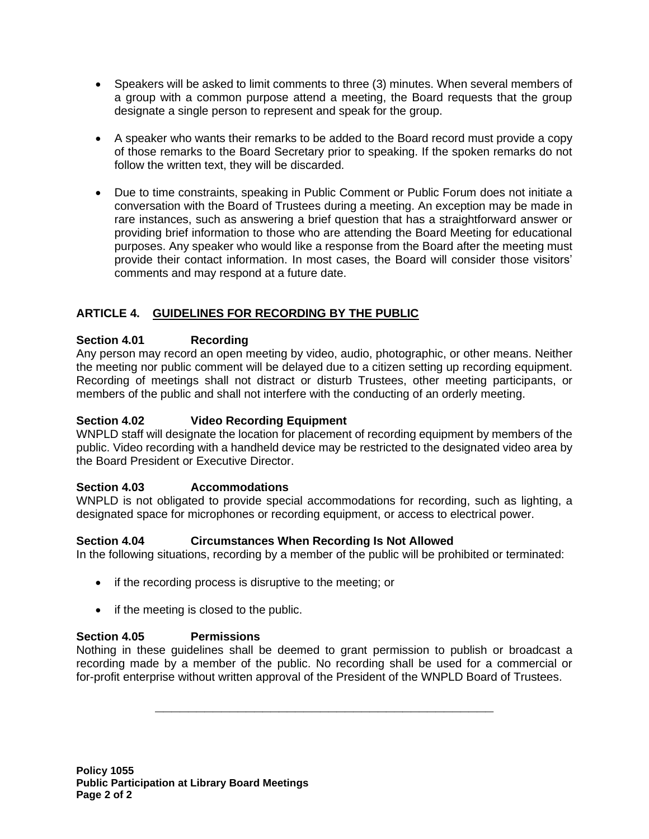- Speakers will be asked to limit comments to three (3) minutes. When several members of a group with a common purpose attend a meeting, the Board requests that the group designate a single person to represent and speak for the group.
- A speaker who wants their remarks to be added to the Board record must provide a copy of those remarks to the Board Secretary prior to speaking. If the spoken remarks do not follow the written text, they will be discarded.
- Due to time constraints, speaking in Public Comment or Public Forum does not initiate a conversation with the Board of Trustees during a meeting. An exception may be made in rare instances, such as answering a brief question that has a straightforward answer or providing brief information to those who are attending the Board Meeting for educational purposes. Any speaker who would like a response from the Board after the meeting must provide their contact information. In most cases, the Board will consider those visitors' comments and may respond at a future date.

#### **ARTICLE 4. GUIDELINES FOR RECORDING BY THE PUBLIC**

#### **Section 4.01 Recording**

Any person may record an open meeting by video, audio, photographic, or other means. Neither the meeting nor public comment will be delayed due to a citizen setting up recording equipment. Recording of meetings shall not distract or disturb Trustees, other meeting participants, or members of the public and shall not interfere with the conducting of an orderly meeting.

#### **Section 4.02 Video Recording Equipment**

WNPLD staff will designate the location for placement of recording equipment by members of the public. Video recording with a handheld device may be restricted to the designated video area by the Board President or Executive Director.

#### **Section 4.03 Accommodations**

WNPLD is not obligated to provide special accommodations for recording, such as lighting, a designated space for microphones or recording equipment, or access to electrical power.

#### **Section 4.04 Circumstances When Recording Is Not Allowed**

In the following situations, recording by a member of the public will be prohibited or terminated:

- if the recording process is disruptive to the meeting; or
- if the meeting is closed to the public.

#### **Section 4.05 Permissions**

Nothing in these guidelines shall be deemed to grant permission to publish or broadcast a recording made by a member of the public. No recording shall be used for a commercial or for-profit enterprise without written approval of the President of the WNPLD Board of Trustees.

**\_\_\_\_\_\_\_\_\_\_\_\_\_\_\_\_\_\_\_\_\_\_\_\_\_\_\_\_\_\_\_\_\_\_\_\_\_\_\_\_\_**